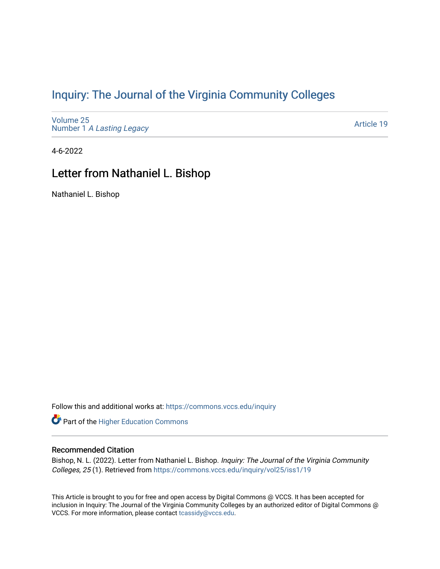## [Inquiry: The Journal of the Virginia Community Colleges](https://commons.vccs.edu/inquiry)

[Volume 25](https://commons.vccs.edu/inquiry/vol25) Number 1 [A Lasting Legacy](https://commons.vccs.edu/inquiry/vol25/iss1)

[Article 19](https://commons.vccs.edu/inquiry/vol25/iss1/19) 

4-6-2022

## Letter from Nathaniel L. Bishop

Nathaniel L. Bishop

Follow this and additional works at: [https://commons.vccs.edu/inquiry](https://commons.vccs.edu/inquiry?utm_source=commons.vccs.edu%2Finquiry%2Fvol25%2Fiss1%2F19&utm_medium=PDF&utm_campaign=PDFCoverPages)

Part of the [Higher Education Commons](http://network.bepress.com/hgg/discipline/1245?utm_source=commons.vccs.edu%2Finquiry%2Fvol25%2Fiss1%2F19&utm_medium=PDF&utm_campaign=PDFCoverPages) 

## Recommended Citation

Bishop, N. L. (2022). Letter from Nathaniel L. Bishop. Inquiry: The Journal of the Virginia Community Colleges, 25 (1). Retrieved from [https://commons.vccs.edu/inquiry/vol25/iss1/19](https://commons.vccs.edu/inquiry/vol25/iss1/19?utm_source=commons.vccs.edu%2Finquiry%2Fvol25%2Fiss1%2F19&utm_medium=PDF&utm_campaign=PDFCoverPages)

This Article is brought to you for free and open access by Digital Commons @ VCCS. It has been accepted for inclusion in Inquiry: The Journal of the Virginia Community Colleges by an authorized editor of Digital Commons @ VCCS. For more information, please contact [tcassidy@vccs.edu](mailto:tcassidy@vccs.edu).